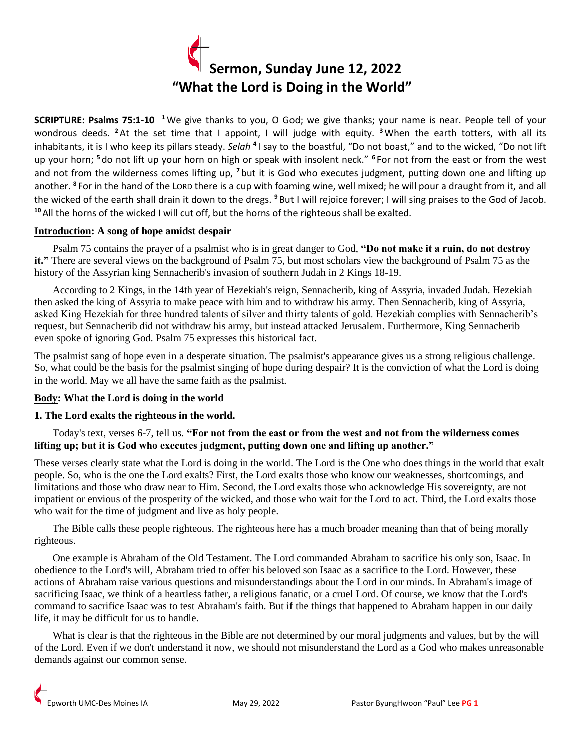

**SCRIPTURE: Psalms 75:1-10 <sup>1</sup>**We give thanks to you, O God; we give thanks; your name is near. People tell of your wondrous deeds. **<sup>2</sup>**At the set time that I appoint, I will judge with equity. **<sup>3</sup>**When the earth totters, with all its inhabitants, it is I who keep its pillars steady. Selah <sup>4</sup>I say to the boastful, "Do not boast," and to the wicked, "Do not lift up your horn; **<sup>5</sup>** do not lift up your horn on high or speak with insolent neck." **<sup>6</sup>** For not from the east or from the west and not from the wilderness comes lifting up, **<sup>7</sup>** but it is God who executes judgment, putting down one and lifting up another. **<sup>8</sup>** For in the hand of the LORD there is a cup with foaming wine, well mixed; he will pour a draught from it, and all the wicked of the earth shall drain it down to the dregs. **<sup>9</sup>** But I will rejoice forever; I will sing praises to the God of Jacob. **<sup>10</sup>**All the horns of the wicked I will cut off, but the horns of the righteous shall be exalted.

## **Introduction: A song of hope amidst despair**

 Psalm 75 contains the prayer of a psalmist who is in great danger to God, **"Do not make it a ruin, do not destroy it."** There are several views on the background of Psalm 75, but most scholars view the background of Psalm 75 as the history of the Assyrian king Sennacherib's invasion of southern Judah in 2 Kings 18-19.

 According to 2 Kings, in the 14th year of Hezekiah's reign, Sennacherib, king of Assyria, invaded Judah. Hezekiah then asked the king of Assyria to make peace with him and to withdraw his army. Then Sennacherib, king of Assyria, asked King Hezekiah for three hundred talents of silver and thirty talents of gold. Hezekiah complies with Sennacherib's request, but Sennacherib did not withdraw his army, but instead attacked Jerusalem. Furthermore, King Sennacherib even spoke of ignoring God. Psalm 75 expresses this historical fact.

The psalmist sang of hope even in a desperate situation. The psalmist's appearance gives us a strong religious challenge. So, what could be the basis for the psalmist singing of hope during despair? It is the conviction of what the Lord is doing in the world. May we all have the same faith as the psalmist.

### **Body: What the Lord is doing in the world**

## **1. The Lord exalts the righteous in the world.**

## Today's text, verses 6-7, tell us. **"For not from the east or from the west and not from the wilderness comes lifting up; but it is God who executes judgment, putting down one and lifting up another."**

These verses clearly state what the Lord is doing in the world. The Lord is the One who does things in the world that exalt people. So, who is the one the Lord exalts? First, the Lord exalts those who know our weaknesses, shortcomings, and limitations and those who draw near to Him. Second, the Lord exalts those who acknowledge His sovereignty, are not impatient or envious of the prosperity of the wicked, and those who wait for the Lord to act. Third, the Lord exalts those who wait for the time of judgment and live as holy people.

 The Bible calls these people righteous. The righteous here has a much broader meaning than that of being morally righteous.

 One example is Abraham of the Old Testament. The Lord commanded Abraham to sacrifice his only son, Isaac. In obedience to the Lord's will, Abraham tried to offer his beloved son Isaac as a sacrifice to the Lord. However, these actions of Abraham raise various questions and misunderstandings about the Lord in our minds. In Abraham's image of sacrificing Isaac, we think of a heartless father, a religious fanatic, or a cruel Lord. Of course, we know that the Lord's command to sacrifice Isaac was to test Abraham's faith. But if the things that happened to Abraham happen in our daily life, it may be difficult for us to handle.

 What is clear is that the righteous in the Bible are not determined by our moral judgments and values, but by the will of the Lord. Even if we don't understand it now, we should not misunderstand the Lord as a God who makes unreasonable demands against our common sense.